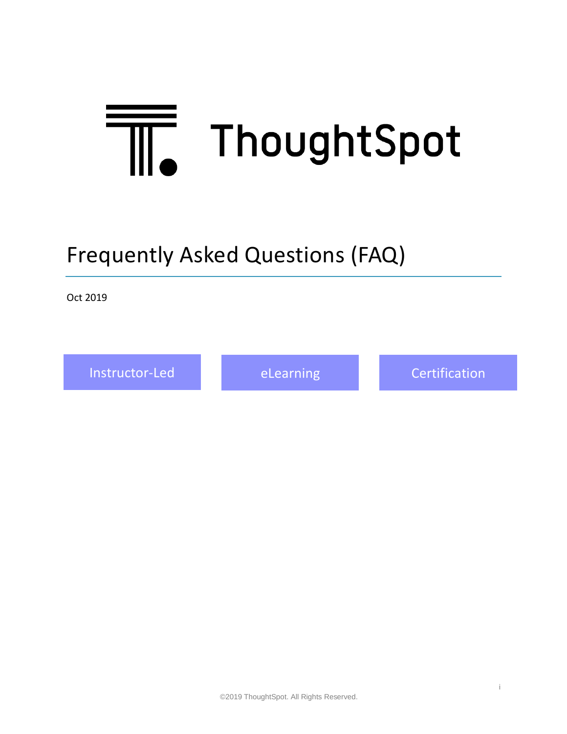# <span id="page-0-0"></span>ThoughtSpot

# Frequently Asked Questions (FAQ)

Oct 2019

[Instructor-Led](#page-1-0) [eLearning](#page-3-0) [Certification](#page-5-0)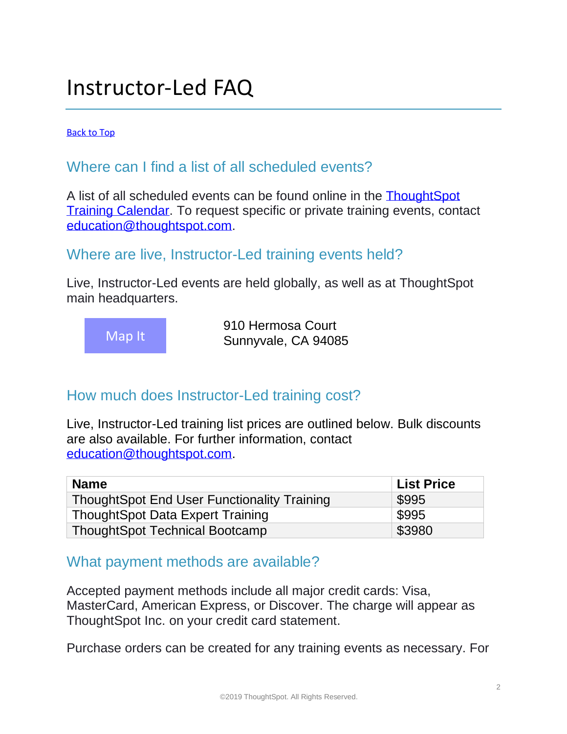# <span id="page-1-0"></span>Instructor-Led FAQ

[Back to Top](#page-0-0)

# Where can I find a list of all scheduled events?

A list of all scheduled events can be found online in the [ThoughtSpot](https://training.thoughtspot.com/calendar)  [Training Calendar.](https://training.thoughtspot.com/calendar) To request specific or private training events, contact [education@thoughtspot.com.](mailto:education@thoughtspot.com)

#### Where are live, Instructor-Led training events held?

Live, Instructor-Led events are held globally, as well as at ThoughtSpot main headquarters.



910 Hermosa Court Sunnyvale, CA 94085

# How much does Instructor-Led training cost?

Live, Instructor-Led training list prices are outlined below. Bulk discounts are also available. For further information, contact [education@thoughtspot.com.](mailto:education@thoughtspot.com)

| <b>Name</b>                                        | <b>List Price</b> |
|----------------------------------------------------|-------------------|
| <b>ThoughtSpot End User Functionality Training</b> | \$995             |
| <b>ThoughtSpot Data Expert Training</b>            | \$995             |
| <b>ThoughtSpot Technical Bootcamp</b>              | \$3980            |

# What payment methods are available?

Accepted payment methods include all major credit cards: Visa, MasterCard, American Express, or Discover. The charge will appear as ThoughtSpot Inc. on your credit card statement.

Purchase orders can be created for any training events as necessary. For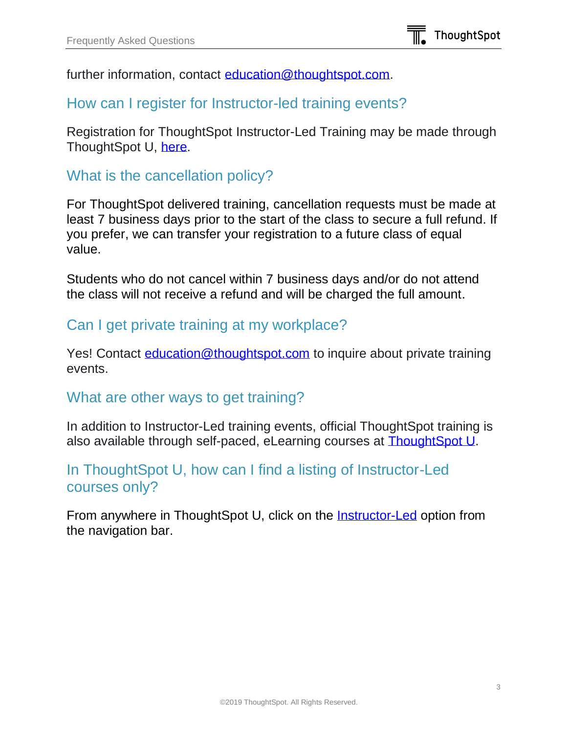further information, contact [education@thoughtspot.com.](mailto:education@thoughtspot.com)

#### How can I register for Instructor-led training events?

Registration for ThoughtSpot Instructor-Led Training may be made through ThoughtSpot U, [here.](https://training.thoughtspot.com/series/instructor-led-training)

#### What is the cancellation policy?

For ThoughtSpot delivered training, cancellation requests must be made at least 7 business days prior to the start of the class to secure a full refund. If you prefer, we can transfer your registration to a future class of equal value.

Students who do not cancel within 7 business days and/or do not attend the class will not receive a refund and will be charged the full amount.

#### Can I get private training at my workplace?

Yes! Contact [education@thoughtspot.com](mailto:education@thoughtspot.com) to inquire about private training events.

#### What are other ways to get training?

In addition to Instructor-Led training events, official ThoughtSpot training is also available through self-paced, eLearning courses at [ThoughtSpot U.](https://training.thoughtspot.com/)

# In ThoughtSpot U, how can I find a listing of Instructor-Led courses only?

From anywhere in ThoughtSpot U, click on the [Instructor-Led](https://training.thoughtspot.com/series/instructor-led-training) option from the navigation bar.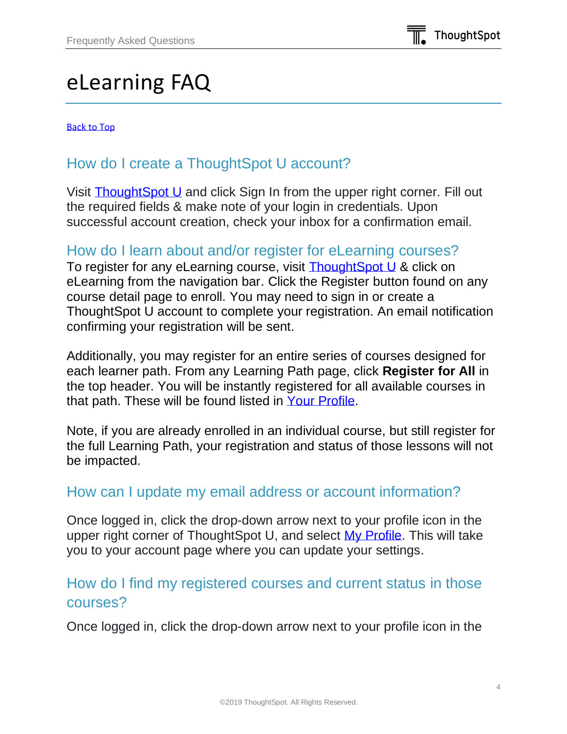# <span id="page-3-0"></span>eLearning FAQ

[Back to Top](#page-0-0)

# How do I create a ThoughtSpot U account?

Visit [ThoughtSpot U](https://training.thoughtspot.com/) and click Sign In from the upper right corner. Fill out the required fields & make note of your login in credentials. Upon successful account creation, check your inbox for a confirmation email.

#### How do I learn about and/or register for eLearning courses?

To register for any eLearning course, visit **ThoughtSpot U & click on** eLearning from the navigation bar. Click the Register button found on any course detail page to enroll. You may need to sign in or create a ThoughtSpot U account to complete your registration. An email notification confirming your registration will be sent.

Additionally, you may register for an entire series of courses designed for each learner path. From any Learning Path page, click **Register for All** in the top header. You will be instantly registered for all available courses in that path. These will be found listed in [Your Profile.](https://training.thoughtspot.com/accounts/profile/)

Note, if you are already enrolled in an individual course, but still register for the full Learning Path, your registration and status of those lessons will not be impacted.

#### How can I update my email address or account information?

Once logged in, click the drop-down arrow next to your profile icon in the upper right corner of ThoughtSpot U, and select [My Profile.](https://training.thoughtspot.com/accounts/profile/) This will take you to your account page where you can update your settings.

# How do I find my registered courses and current status in those courses?

Once logged in, click the drop-down arrow next to your profile icon in the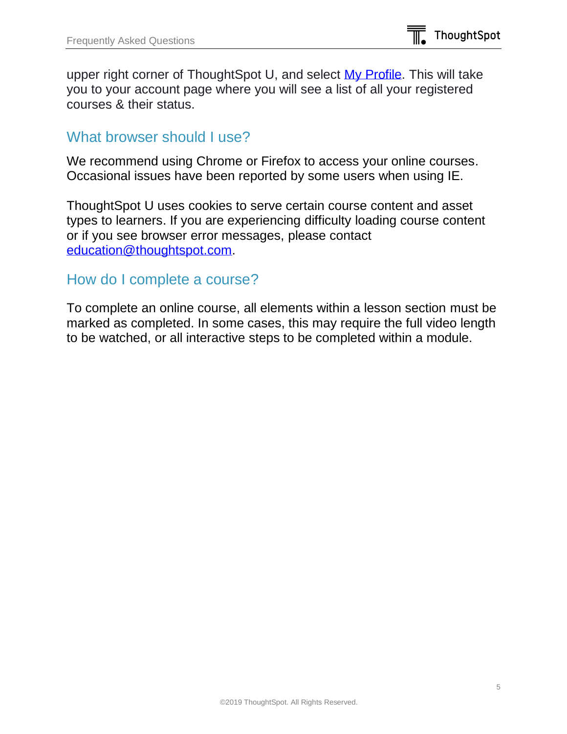upper right corner of ThoughtSpot U, and select [My Profile.](https://training.thoughtspot.com/accounts/profile/) This will take you to your account page where you will see a list of all your registered courses & their status.

#### What browser should I use?

We recommend using Chrome or Firefox to access your online courses. Occasional issues have been reported by some users when using IE.

ThoughtSpot U uses cookies to serve certain course content and asset types to learners. If you are experiencing difficulty loading course content or if you see browser error messages, please contact [education@thoughtspot.com.](mailto:education@thoughtspot.com)

#### How do I complete a course?

To complete an online course, all elements within a lesson section must be marked as completed. In some cases, this may require the full video length to be watched, or all interactive steps to be completed within a module.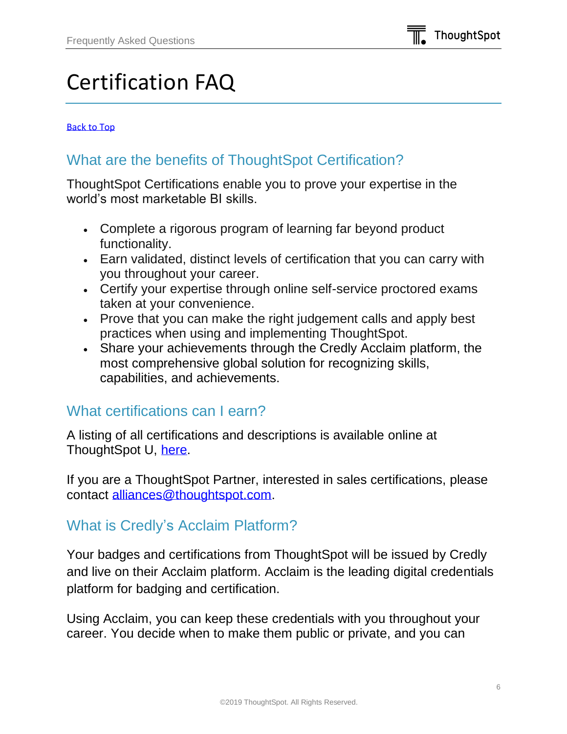# <span id="page-5-0"></span>Certification FAQ

#### [Back to Top](#page-0-0)

# What are the benefits of ThoughtSpot Certification?

ThoughtSpot Certifications enable you to prove your expertise in the world's most marketable BI skills.

- Complete a rigorous program of learning far beyond product functionality.
- Earn validated, distinct levels of certification that you can carry with you throughout your career.
- Certify your expertise through online self-service proctored exams taken at your convenience.
- Prove that you can make the right judgement calls and apply best practices when using and implementing ThoughtSpot.
- Share your achievements through the Credly Acclaim platform, the most comprehensive global solution for recognizing skills, capabilities, and achievements.

#### What certifications can I earn?

A listing of all certifications and descriptions is available online at ThoughtSpot U, [here.](https://training.thoughtspot.com/series/certification)

If you are a ThoughtSpot Partner, interested in sales certifications, please contact [alliances@thoughtspot.com.](mailto:alliances@thoughtspot.com)

# What is Credly's Acclaim Platform?

Your badges and certifications from ThoughtSpot will be issued by Credly and live on their Acclaim platform. Acclaim is the leading digital credentials platform for badging and certification.

Using Acclaim, you can keep these credentials with you throughout your career. You decide when to make them public or private, and you can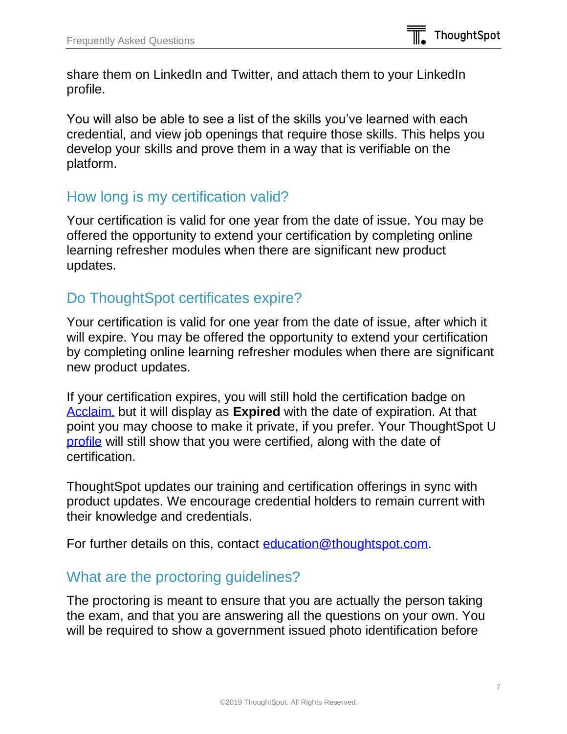share them on LinkedIn and Twitter, and attach them to your LinkedIn profile.

You will also be able to see a list of the skills you've learned with each credential, and view job openings that require those skills. This helps you develop your skills and prove them in a way that is verifiable on the platform.

#### How long is my certification valid?

Your certification is valid for one year from the date of issue. You may be offered the opportunity to extend your certification by completing online learning refresher modules when there are significant new product updates.

# Do ThoughtSpot certificates expire?

Your certification is valid for one year from the date of issue, after which it will expire. You may be offered the opportunity to extend your certification by completing online learning refresher modules when there are significant new product updates.

If your certification expires, you will still hold the certification badge on [Acclaim](https://www.youracclaim.com/earner/earned), but it will display as **Expired** with the date of expiration. At that point you may choose to make it private, if you prefer. Your ThoughtSpot U [profile](https://training.thoughtspot.com/accounts/profile/) will still show that you were certified, along with the date of certification.

ThoughtSpot updates our training and certification offerings in sync with product updates. We encourage credential holders to remain current with their knowledge and credentials.

For further details on this, contact [education@thoughtspot.com.](mailto:education@thoughtspot.com)

# What are the proctoring guidelines?

The proctoring is meant to ensure that you are actually the person taking the exam, and that you are answering all the questions on your own. You will be required to show a government issued photo identification before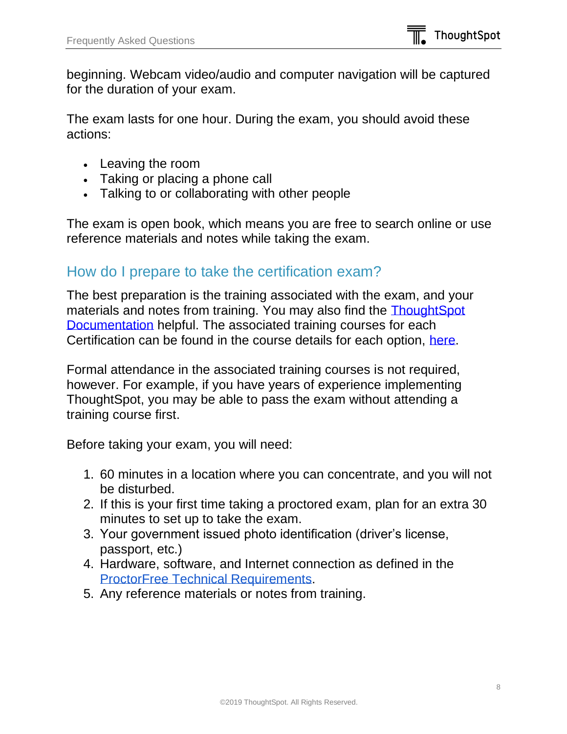beginning. Webcam video/audio and computer navigation will be captured for the duration of your exam.

The exam lasts for one hour. During the exam, you should avoid these actions:

- Leaving the room
- Taking or placing a phone call
- Talking to or collaborating with other people

The exam is open book, which means you are free to search online or use reference materials and notes while taking the exam.

#### How do I prepare to take the certification exam?

The best preparation is the training associated with the exam, and your materials and notes from training. You may also find the [ThoughtSpot](http://docs.thoughtspot.com/)  [Documentation](http://docs.thoughtspot.com/) helpful. The associated training courses for each Certification can be found in the course details for each option, [here.](https://training.thoughtspot.com/series/certification)

Formal attendance in the associated training courses is not required, however. For example, if you have years of experience implementing ThoughtSpot, you may be able to pass the exam without attending a training course first.

Before taking your exam, you will need:

- 1. 60 minutes in a location where you can concentrate, and you will not be disturbed.
- 2. If this is your first time taking a proctored exam, plan for an extra 30 minutes to set up to take the exam.
- 3. Your government issued photo identification (driver's license, passport, etc.)
- 4. Hardware, software, and Internet connection as defined in the [ProctorFree Technical Requirements.](http://proctorfree.com/technical-requirements)
- 5. Any reference materials or notes from training.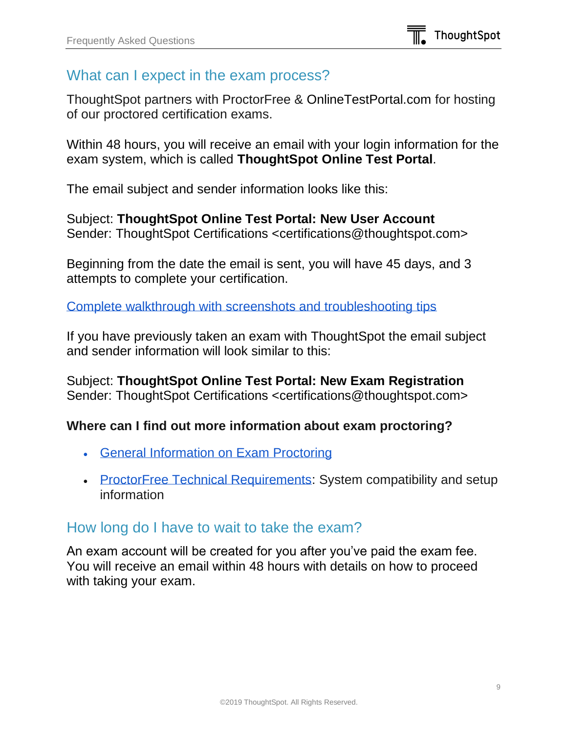# What can I expect in the exam process?

ThoughtSpot partners with ProctorFree & OnlineTestPortal.com for hosting of our proctored certification exams.

Within 48 hours, you will receive an email with your login information for the exam system, which is called **ThoughtSpot Online Test Portal**.

The email subject and sender information looks like this:

Subject: **ThoughtSpot Online Test Portal: New User Account** Sender: ThoughtSpot Certifications <certifications@thoughtspot.com>

Beginning from the date the email is sent, you will have 45 days, and 3 attempts to complete your certification.

[Complete walkthrough with screenshots and troubleshooting tips](https://www.thoughtspot.com/certification-process)

If you have previously taken an exam with ThoughtSpot the email subject and sender information will look similar to this:

Subject: **ThoughtSpot Online Test Portal: New Exam Registration** Sender: ThoughtSpot Certifications <certifications@thoughtspot.com>

#### **Where can I find out more information about exam proctoring?**

- [General Information on Exam Proctoring](http://proctorfree.com/what-is-exam-proctoring)
- [ProctorFree Technical Requirements:](http://proctorfree.com/technical-requirements) System compatibility and setup information

# How long do I have to wait to take the exam?

An exam account will be created for you after you've paid the exam fee. You will receive an email within 48 hours with details on how to proceed with taking your exam.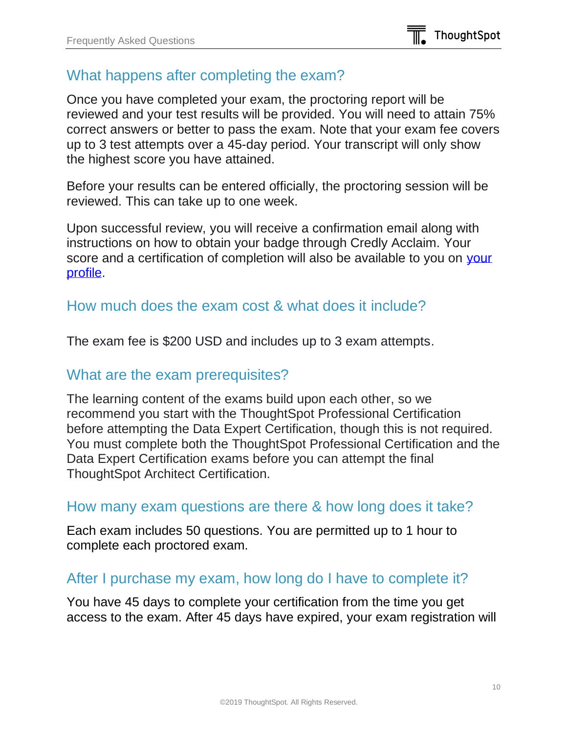# What happens after completing the exam?

Once you have completed your exam, the proctoring report will be reviewed and your test results will be provided. You will need to attain 75% correct answers or better to pass the exam. Note that your exam fee covers up to 3 test attempts over a 45-day period. Your transcript will only show the highest score you have attained.

Before your results can be entered officially, the proctoring session will be reviewed. This can take up to one week.

Upon successful review, you will receive a confirmation email along with instructions on how to obtain your badge through Credly Acclaim. Your score and a certification of completion will also be available to you on your [profile.](https://training.thoughtspot.com/accounts/profile/)

#### How much does the exam cost & what does it include?

The exam fee is \$200 USD and includes up to 3 exam attempts.

#### What are the exam prerequisites?

The learning content of the exams build upon each other, so we recommend you start with the ThoughtSpot Professional Certification before attempting the Data Expert Certification, though this is not required. You must complete both the ThoughtSpot Professional Certification and the Data Expert Certification exams before you can attempt the final ThoughtSpot Architect Certification.

#### How many exam questions are there & how long does it take?

Each exam includes 50 questions. You are permitted up to 1 hour to complete each proctored exam.

# After I purchase my exam, how long do I have to complete it?

You have 45 days to complete your certification from the time you get access to the exam. After 45 days have expired, your exam registration will